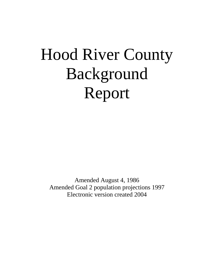# Hood River County Background Report

Amended August 4, 1986 Amended Goal 2 population projections 1997 Electronic version created 2004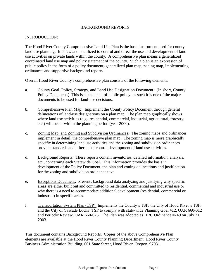#### BACKGROUND REPORTS

#### INTRODUCTION:

The Hood River County Comprehensive Land Use Plan is the basic instrument used for county land use planning. It is law and is utilized to control and direct the use and development of land use activities on private lands within the county. A comprehensive plan means a generalized coordinated land use map and policy statement of the county. Such a plan is an expression of public policy in the form of a policy document; generalized plan map, zoning map, implementing ordinances and supportive background reports.

Overall Hood River County's comprehensive plan consists of the following elements:

- a. County Goal, Policy, Strategy, and Land Use Designation Document: (In short, County Policy Document.) This is a statement of public policy; as such it is one of the major documents to be used for land-use decisions.
- b. Comprehensive Plan Map: Implement the County Policy Document through general delineations of land-use designations on a plan map. The plan map graphically shows where land use activities (e.g., residential, commercial, industrial, agricultural, forestry, etc.) will occur within the planning period (year 2000).
- c. Zoning Map, and Zoning and Subdivision Ordinances: The zoning maps and ordinances implement in detail, the comprehensive plan map. The zoning map is more graphically specific in determining land use activities and the zoning and subdivision ordinances provide standards and criteria that control development of land use activities.
- d. Background Reports: These reports contain inventories, detailed information, analysis, etc., concerning each Statewide Goal. This information provides the basis in development of the Policy Document, the plan and zoning delineations and justification for the zoning and subdivision ordinance text.
- e. Exceptions Document: Presents background data analyzing and justifying why specific areas are either built out and committed to residential, commercial and industrial use or why there is a need to accommodate additional development (residential, commercial or industrial) in specific areas.
- f. Transportation System Plan (TSP): Implements the County's TSP, the City of Hood River's TSP; and the City of Cascade Locks' TSP to comply with state-wide Planning Goal #12, OAR 660-012 and Periodic Review, OAR 660-025. The Plan was adopted as HRC Ordinance #249 on July 21, 2003.

This document contains Background Reports. Copies of the above Comprehensive Plan elements are available at the Hood River County Planning Department, Hood River County Business Administration Building, 601 State Street, Hood River, Oregon, 97031.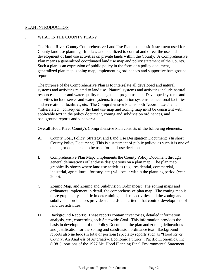#### PLAN INTRODUCTION

#### I. WHAT IS THE COUNTY PLAN?

The Hood River County Comprehensive Land Use Plan is the basic instrument used for County land use planning. It is law and is utilized to control and direct the use and development of land use activities on private lands within the County. A Comprehensive Plan means a generalized coordinated land use map and policy statement of the County. Such a plan is an expression of public policy in the form of a policy document, generalized plan map, zoning map, implementing ordinances and supportive background reports.

The purpose of the Comprehensive Plan is to interrelate all developed and natural systems and activities related to land use. Natural systems and activities include natural resources and air and water quality management programs, etc. Developed systems and activities include sewer and water systems, transportation systems, educational facilities and recreational facilities, etc. The Comprehensive Plan is both "coordinated" and "interrelated", consequently the land use map and zoning map must be consistent with applicable text in the policy document, zoning and subdivision ordinances, and background reports and vice versa.

Overall Hood River County's Comprehensive Plan consists of the following elements:

- A. County Goal, Policy, Strategy, and Land Use Designation Document: (In short, County Policy Document) This is a statement of public policy; as such it is one of the major documents to be used for land-use decisions.
- B. Comprehensive Plan Map: Implements the County Policy Document through general delineations of land-use designations on a plan map. The plan map graphically shows where land use activities (e.g., residential, commercial, industrial, agricultural, forestry, etc.) will occur within the planning period (year 2000).
- C. Zoning Map, and Zoning and Subdivision Ordinances: The zoning maps and ordinances implement in detail, the comprehensive plan map. The zoning map is more graphically specific in determining land use activities and the zoning and subdivision ordinances provide standards and criteria that control development of land use activities.
- D. Background Reports: These reports contain inventories, detailed information, analysis, etc., concerning each Statewide Goal. This information provides the basis in development of the Policy Document, the plan and zoning delineations and justification for the zoning and subdivision ordinance text. Background reports also include (in total or portions) specialty reports such as "Hood River County, An Analysis of Alternative Economic Futures", Pacific Economica, Inc. (1981); portions of the 1977 Mt. Hood Planning Final Environmental Statement,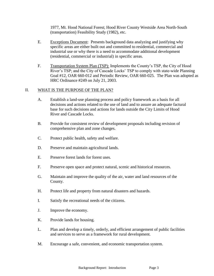1977, Mt. Hood National Forest; Hood River County Westside Area North-South (transportation) Feasibility Study (1982), etc.

- E. Exceptions Document: Presents background data analyzing and justifying why specific areas are either built out and committed to residential, commercial and industrial use or why there is a need to accommodate additional development (residential, commercial or industrial) in specific areas.
- F. Transportation System Plan (TSP): Implements the County's TSP, the City of Hood River's TSP; and the City of Cascade Locks' TSP to comply with state-wide Planning Goal #12, OAR 660-012 and Periodic Review, OAR 660-025. The Plan was adopted as HRC Ordinance #249 on July 21, 2003.

### II. WHAT IS THE PURPOSE OF THE PLAN?

- A. Establish a land-use planning process and policy framework as a basis for all decisions and actions related to the use of land and to assure an adequate factural base for such decisions and actions for lands outside the City Limits of Hood River and Cascade Locks.
- B. Provide for consistent review of development proposals including revision of comprehensive plan and zone changes.
- C. Protect public health, safety and welfare.
- D. Preserve and maintain agricultural lands.
- E. Preserve forest lands for forest uses.
- F. Preserve open space and protect natural, scenic and historical resources.
- G. Maintain and improve the quality of the air, water and land resources of the County.
- H. Protect life and property from natural disasters and hazards.
- I. Satisfy the recreational needs of the citizens.
- J. Improve the economy.
- K. Provide lands for housing.
- L. Plan and develop a timely, orderly, and efficient arrangement of public facilities and services to serve as a framework for rural development.
- M. Encourage a safe, convenient, and economic transportation system.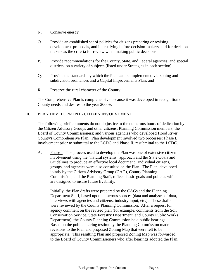- N. Conserve energy.
- O. Provide an established set of policies for citizens preparing or revising development proposals, and in testifying before decision-makers, and for decision makers as the criteria for review when making public decisions.
- P. Provide recommendations for the County, State, and Federal agencies, and special districts, on a variety of subjects (listed under Strategies in each section).
- Q. Provide the standards by which the Plan can be implemented via zoning and subdivision ordinances and a Capital Improvements Plan; and
- R. Preserve the rural character of the County.

The Comprehensive Plan is comprehensive because it was developed in recognition of County needs and desires to the year 2000±.

### III. PLAN DEVELOPMENT - CITIZEN INVOLVEMENT

The following brief comments do not do justice to the numerous hours of dedication by the Citizen Advisory Groups and other citizens; Planning Commission members; the Board of County Commissioners; and various agencies who developed Hood River County's Comprehensive Plan. Plan development involved two processes: Phase I, involvement prior to submittal to the LCDC and Phase II, resubmittal to the LCDC.

A. Phase I: The process used to develop the Plan was one of extensive citizen involvement using the "natural systems" approach and the State Goals and Guidelines to produce an effective local document. Individual citizens, groups, and agencies were also consulted on the Plan. The Plan, developed jointly by the Citizen Advisory Group (CAG), County Planning Commission, and the Planning Staff, reflects basic goals and policies which are designed to insure future livability.

Initially, the Plan drafts were prepared by the CAGs and the Planning Department Staff, based upon numerous sources (data and analyses of data, interviews with agencies and citizens, industry input, etc.). These drafts were reviewed by the County Planning Commission. After a request for agency comment on the revised plan (for example, comments from the Soil Conservation Service, State Forestry Department, and County Public Works Department), the County Planning Commission held public hearings. Based on the public hearing testimony the Planning Commission made revisions to the Plan and proposed Zoning Map that were felt to be appropriate. This resulting Plan and proposed Zoning Map was forwarded to the Board of County Commissioners who after hearings adopted the Plan.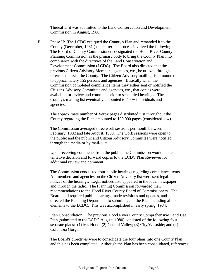Thereafter it was submitted to the Land Conservation and Development Commission in August, 1980.

B. Phase II: The LCDC critiqued the County's Plan and remanded it to the County (December, 1981,) thereafter the process involved the following. The Board of County Commissioners designated the Hood River County Planning Commission as the primary body to bring the County Plan into compliance with the directives of the Land Conservation and Development Commission (LCDC). The Board also directed that the previous Citizen Advisory Members, agencies, etc., be utilized through referrals to assist the County. The Citizen Advisory mailing list amounted to approximately 155 persons and agencies. Basically when the Commission completed compliance items they either sent or notified the Citizens Advisory Committee and agencies, etc., that copies were available for review and comment prior to scheduled hearings. The County's mailing list eventually amounted to 400+ individuals and agencies.

The approximate number of Xerox pages distributed just throughout the County regarding the Plan amounted to 100,000 pages (considered low).

The Commission averaged three work sessions per month between February, 1982 and late August, 1983. The work sessions were open to the public and the public and Citizen Advisory Committee were notified through the media or by mail-outs.

Upon receiving comments from the public, the Commission would make a tentative decision and forward copies to the LCDC Plan Reviewer for additional review and comment.

The Commission conducted four public hearings regarding compliance items. All members and agencies on the Citizen Advisory list were sent legal notices of the hearings. Legal notices also appeared in the local newspaper and through the radio. The Planning Commission forwarded their recommendations to the Hood River County Board of Commissioners. The Board held required public hearings, made revisions and updates, and directed the Planning Department to submit again, the Plan including all its elements to the LCDC. This was accomplished in early spring, 1984.

C. Plan Consolidation: The previous Hood River County Comprehensive Land Use Plan (submitted to the LCDC August, 1980) consisted of the following four separate plans: (1) Mt. Hood; (2) Central Valley; (3) City/Westside; and (4) Columbia Gorge.

The Board's directives were to consolidate the four plans into one County Plan and this has been completed. Although the Plan has been consolidated, references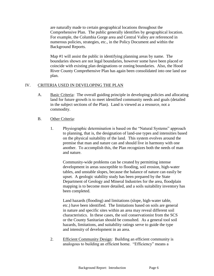are naturally made to certain geographical locations throughout the Comprehensive Plan. The public generally identifies by geographical location. For example, the Columbia Gorge area and Central Valley are referenced in numerous policies, strategies, etc., in the Policy Document and within the Background Reports.

Map #1 will assist the public in identifying planning areas by name. The boundaries shown are not legal boundaries, however some have been placed or coincide with existing plan designations or zoning boundaries. Also, the Hood River County Comprehensive Plan has again been consolidated into one land use plan.

### IV. CRITERIA USED IN DEVELOPING THE PLAN

- A. Basic Criteria: The overall guiding principle in developing policies and allocating land for future growth is to meet identified community needs and goals (detailed in the subject sections of the Plan). Land is viewed as a resource, not a commodity.
- B. Other Criteria:
	- 1. Physiographic determination is based on the "Natural Systems" approach to planning, that is, the designation of land-use types and intensities based on the physical suitability of the land. This system evolves around the premise that man and nature can and should live in harmony with one another. To accomplish this, the Plan recognizes both the needs of man and nature.

Community-wide problems can be created by permitting intense development in areas susceptible to flooding, soil erosion, high-water tables, and unstable slopes, because the balance of nature can easily be upset. A geologic stability study has been prepared by the State Department of Geology and Mineral Industries for the area, floodplain mapping is to become more detailed, and a soils suitability inventory has been completed.

Land hazards (flooding) and limitations (slope, high-water table, etc.) have been identified. The limitations based on soils are general in nature and specific sites within an area may reveal different soil characteristics. In these cases, the soil conservationist from the SCS or the County Sanitarian should be consulted. As a general tool soil hazards, limitations, and suitability ratings serve to guide the type and intensity of development in an area.

2. Efficient Community Design: Building an efficient community is analogous to building an efficient home. "Efficiency" means a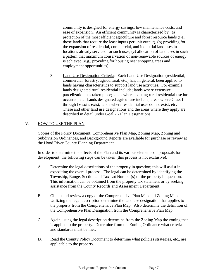community is designed for energy savings, low maintenance costs, and ease of expansion. An efficient community is characterized by: (a) protection of the most efficient agriculture and forest resource lands (i.e., those lands that require the least inputs per unit output), (b) providing for the expansion of residential, commercial, and industrial land uses in locations already serviced for such uses, (c) allocation of land uses in such a pattern that maximum conservation of non-renewable sources of energy is achieved (e.g., providing for housing near shopping areas and employment opportunities).

3. Land Use Designation Criteria: Each Land Use Designation (residential, commercial, forestry, agricultural, etc.) has, in general, been applied to lands having characteristics to support land use activities. For example, lands designated rural residential include; lands where extensive parcelization has taken place; lands where existing rural residential use has occurred, etc. Lands designated agriculture include; areas where Class I through IV soils exist; lands where residential uses do not exist, etc. These and other land use designations and the areas where they apply are described in detail under Goal 2 - Plan Designations.

# V. HOW TO USE THE PLAN

Copies of the Policy Document, Comprehensive Plan Map, Zoning Map, Zoning and Subdivision Ordinances, and Background Reports are available for purchase or review at the Hood River County Planning Department.

In order to determine the effects of the Plan and its various elements on proposals for development, the following steps can be taken (this process is not exclusive):

- A. Determine the legal descriptions of the property in question; this will assist in expediting the overall process. The legal can be determined by identifying the Township, Range, Section and Tax Lot Number(s) of the property in question. This information can be obtained from the property tax statement or by seeking assistance from the County Records and Assessment Department.
- B. Obtain and review a copy of the Comprehensive Plan Map and Zoning Map. Utilizing the legal description determine the land use designation that applies to the property from the Comprehensive Plan Map. Also determine the definition of the Comprehensive Plan Designation from the Comprehensive Plan Map.
- C. Again, using the legal description determine from the Zoning Map the zoning that is applied to the property. Determine from the Zoning Ordinance what criteria and standards must be met.
- D. Read the County Policy Document to determine what policies strategies, etc., are applicable to the property.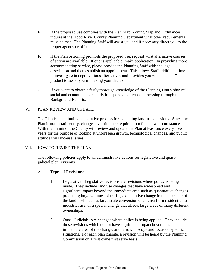- E. If the proposed use complies with the Plan Map, Zoning Map and Ordinances, inquire at the Hood River County Planning Department what other requirements must be met. The Planning Staff will assist you and if necessary direct you to the proper agency or office.
- F. If the Plan or zoning prohibits the proposed use, request what alternative courses of action are available. If one is applicable, make application. In providing more accommodating service, please provide the Planning Staff with the legal description and then establish an appointment. This allows Staff additional time to investigate in depth various alternatives and provides you with a "better" product to assist you in-making your decision.
- G. If you want to obtain a fairly thorough knowledge of the Planning Unit's physical, social and economic characteristics, spend an afternoon browsing through the Background Reports.

# VI. PLAN REVIEW AND UPDATE

The Plan is a continuing cooperative process for evaluating land-use decisions. Since the Plan is not a static entity, changes over time are required to reflect new circumstances. With that in mind, the County will review and update the Plan at least once every five years for the purpose of looking at unforeseen growth, technological changes, and public attitudes on land-use issues.

#### VII. HOW TO REVISE THE PLAN

The following policies apply to all administrative actions for legislative and quasijudicial plan revisions.

- A. Types of Revisions:
	- 1. Legislative. Legislative revisions are revisions where policy is being made. They include land use changes that have widespread and significant impact beyond the immediate area such as quantitative changes producing large volumes of traffic, a qualitative change in the character of the land itself such as large scale conversion of an area from residential to industrial use, or a special change that affects large areas of many different ownerships.
	- 2. Quasi-Judicial: Are changes where policy is being applied. They include those revisions which do not have significant impact beyond the immediate area of the change, are narrow in scope and focus on specific situations. For each plan change, a revision will be heard by the Planning Commission on a first come first serve basis.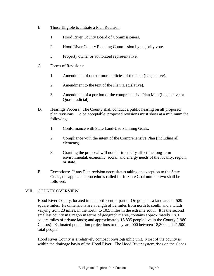- B. Those Eligible to Initiate a Plan Revision:
	- 1. Hood River County Board of Commissioners.
	- 2. Hood River County Planning Commission by majority vote.
	- 3. Property owner or authorized representative.
- C. Forms of Revisions:
	- 1. Amendment of one or more policies of the Plan (Legislative).
	- 2. Amendment to the text of the Plan (Legislative).
	- 3. Amendment of a portion of the comprehensive Plan Map (Legislative or Quasi-Judicial).
- D. Hearings Process: The County shall conduct a public hearing on all proposed plan revisions. To be acceptable, proposed revisions must show at a minimum the following:
	- 1. Conformance with State Land-Use Planning Goals.
	- 2. Compliance with the intent of the Comprehensive Plan (including all elements).
	- 3. Granting the proposal will not detrimentally affect the long-term environmental, economic, social, and energy needs of the locality, region, or state.
- E. Exceptions: If any Plan revision necessitates taking an exception to the State Goals, the applicable procedures called for in State Goal number two shall be followed.

# VIII. COUNTY OVERVIEW

Hood River County, located in the north central part of Oregon, has a land area of 529 square miles. Its dimensions are a length of 32 miles from north to south, and a width varying from 23 miles, in the north, to 10.5 miles in the extreme south. It is the second smallest county in Oregon in terms of geographic area, contains approximately  $138\pm$ square miles of private lands; and approximately 15,835 people live in the County (1980 Census). Estimated population projections to the year 2000 between 18,300 and 21,500 total people.

Hood River County is a relatively compact physiographic unit. Most of the county is within the drainage basin of the Hood River. The Hood River system rises on the slopes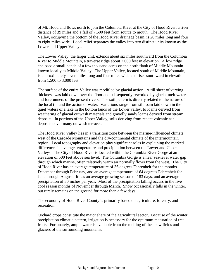of Mt. Hood and flows north to join the Columbia River at the City of Hood River, a river distance of 39 miles and a fall of 7,500 feet from source to mouth. The Hood River Valley, occupying the bottom of the Hood River drainage basin, is 20 miles long and four to eight miles wide. Local relief separates the valley into two distinct units known as the Lower and Upper Valleys.

The Lower Valley, the larger unit, extends about six miles southward from the Columbia River to Middle Mountain, a traverse ridge about 2,000 feet in elevation. A low ridge enclosed a small bench of a few thousand acres on the north flank of Middle Mountain known locally as Middle Valley. The Upper Valley, located south of Middle Mountain, is approximately seven miles long and four miles wide and rises southward in elevation from 1,500 to 3,000 feet.

The surface of the entire Valley was modified by glacial action. A till sheet of varying thickness was laid down over the floor and subsequently reworked by glacial melt waters and forerunners of the present rivers. The soil pattern is directly related to the nature of the local till and the action of water. Variations range from silt loam laid down in the quiet waters of a lake in the bottom lands of the Lower valley, to loams derived from weathering of glacial outwash materials and gravelly sandy loams derived from stream deposits. In portions of the Upper Valley, soils deriving from recent volcanic ash deposits cover many outwash terraces.

The Hood River Valley lies in a transition zone between the marine-influenced climate west of the Cascade Mountains and the dry-continental climate of the intermountain region. Local topography and elevation play significant roles in explaining the marked differences in average temperature and precipitation between the Lower and Upper Valleys. The City of Hood River is located within the Columbia River Gorge at an elevation of 500 feet above sea level. The Columbia Gorge is a near sea-level water gap through which marine, often relatively warm air normally flows from the west. The City of Hood River has an average temperature of 36 degrees Fahrenheit for the months December through February, and an average temperature of 64 degrees Fahrenheit for June through August. It has an average growing season of 183 days, and an average precipitation of 30 inches per year. Most of the precipitation falling occurs in the five cool season months of November through March. Snow occasionally falls in the winter, but rarely remains on the ground for more than a few days.

The economy of Hood River County is primarily based on agriculture, forestry, and recreation.

Orchard crops constitute the major share of the agricultural sector. Because of the winter precipitation climatic pattern, irrigation is necessary for the optimum maturation of tree fruits. Fortunately, ample water is available from the melting of the snow fields and glaciers of the surrounding mountains.